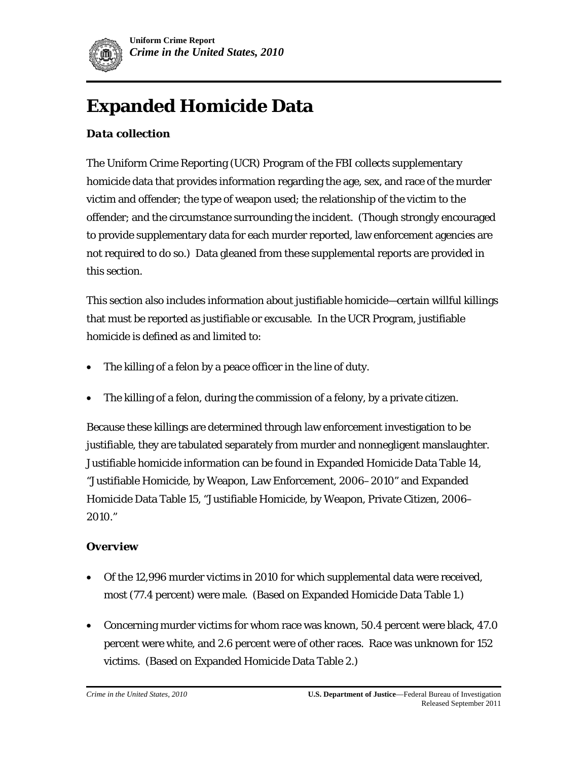

# **Expanded Homicide Data**

# *Data collection*

The Uniform Crime Reporting (UCR) Program of the FBI collects supplementary homicide data that provides information regarding the age, sex, and race of the murder victim and offender; the type of weapon used; the relationship of the victim to the offender; and the circumstance surrounding the incident. (Though strongly encouraged to provide supplementary data for each murder reported, law enforcement agencies are not required to do so.) Data gleaned from these supplemental reports are provided in this section.

This section also includes information about justifiable homicide—certain willful killings that must be reported as justifiable or excusable. In the UCR Program, justifiable homicide is defined as and limited to:

- The killing of a felon by a peace officer in the line of duty.
- The killing of a felon, during the commission of a felony, by a private citizen.

Because these killings are determined through law enforcement investigation to be justifiable, they are tabulated separately from murder and nonnegligent manslaughter. Justifiable homicide information can be found in Expanded Homicide Data Table 14, "Justifiable Homicide, by Weapon, Law Enforcement, 2006–2010" and Expanded Homicide Data Table 15, "Justifiable Homicide, by Weapon, Private Citizen, 2006– 2010."

#### *Overview*

- Of the 12,996 murder victims in 2010 for which supplemental data were received, most (77.4 percent) were male. (Based on Expanded Homicide Data Table 1.)
- Concerning murder victims for whom race was known, 50.4 percent were black, 47.0 percent were white, and 2.6 percent were of other races. Race was unknown for 152 victims. (Based on Expanded Homicide Data Table 2.)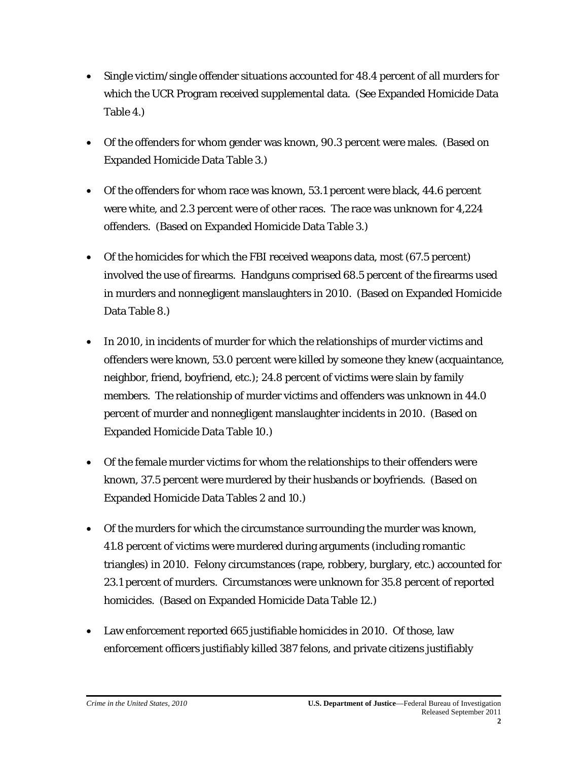- Single victim/single offender situations accounted for 48.4 percent of all murders for which the UCR Program received supplemental data. (See Expanded Homicide Data Table 4.)
- Of the offenders for whom gender was known, 90.3 percent were males. (Based on Expanded Homicide Data Table 3.)
- Of the offenders for whom race was known, 53.1 percent were black, 44.6 percent were white, and 2.3 percent were of other races. The race was unknown for 4,224 offenders. (Based on Expanded Homicide Data Table 3.)
- Of the homicides for which the FBI received weapons data, most (67.5 percent) involved the use of firearms. Handguns comprised 68.5 percent of the firearms used in murders and nonnegligent manslaughters in 2010. (Based on Expanded Homicide Data Table 8.)
- In 2010, in incidents of murder for which the relationships of murder victims and offenders were known, 53.0 percent were killed by someone they knew (acquaintance, neighbor, friend, boyfriend, etc.); 24.8 percent of victims were slain by family members. The relationship of murder victims and offenders was unknown in 44.0 percent of murder and nonnegligent manslaughter incidents in 2010. (Based on Expanded Homicide Data Table 10.)
- Of the female murder victims for whom the relationships to their offenders were known, 37.5 percent were murdered by their husbands or boyfriends. (Based on Expanded Homicide Data Tables 2 and 10.)
- Of the murders for which the circumstance surrounding the murder was known, 41.8 percent of victims were murdered during arguments (including romantic triangles) in 2010. Felony circumstances (rape, robbery, burglary, etc.) accounted for 23.1 percent of murders. Circumstances were unknown for 35.8 percent of reported homicides. (Based on Expanded Homicide Data Table 12.)
- Law enforcement reported 665 justifiable homicides in 2010. Of those, law enforcement officers justifiably killed 387 felons, and private citizens justifiably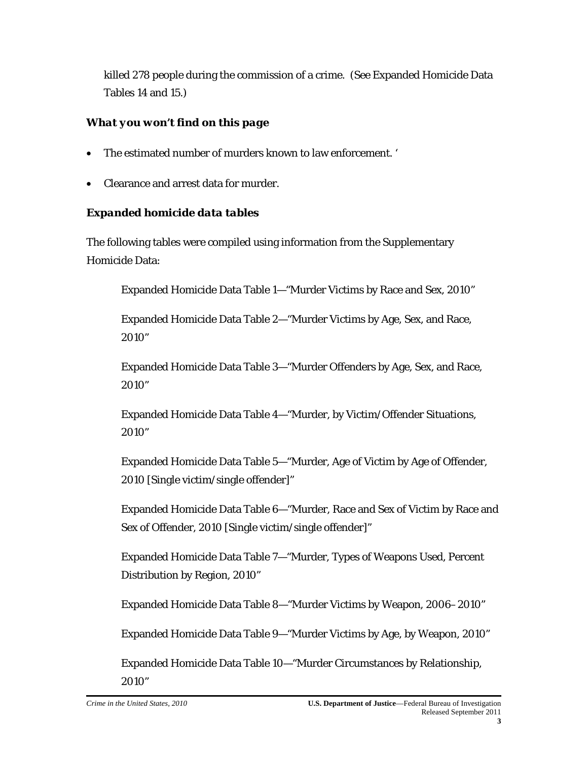killed 278 people during the commission of a crime. (See Expanded Homicide Data Tables 14 and 15.)

## *What you won't find on this page*

- The estimated number of murders known to law enforcement. '
- Clearance and arrest data for murder.

### *Expanded homicide data tables*

The following tables were compiled using information from the Supplementary Homicide Data:

Expanded Homicide Data Table 1—"Murder Victims by Race and Sex, 2010"

Expanded Homicide Data Table 2—"Murder Victims by Age, Sex, and Race, 2010"

Expanded Homicide Data Table 3—"Murder Offenders by Age, Sex, and Race, 2010"

Expanded Homicide Data Table 4—"Murder, by Victim/Offender Situations, 2010"

Expanded Homicide Data Table 5—"Murder, Age of Victim by Age of Offender, 2010 [Single victim/single offender]"

Expanded Homicide Data Table 6—"Murder, Race and Sex of Victim by Race and Sex of Offender, 2010 [Single victim/single offender]"

Expanded Homicide Data Table 7—"Murder, Types of Weapons Used, Percent Distribution by Region, 2010"

Expanded Homicide Data Table 8—"Murder Victims by Weapon, 2006–2010"

Expanded Homicide Data Table 9—"Murder Victims by Age, by Weapon, 2010"

Expanded Homicide Data Table 10—"Murder Circumstances by Relationship, 2010"